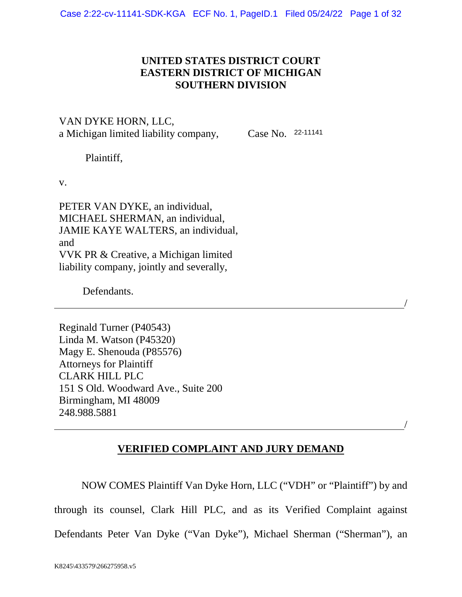## **UNITED STATES DISTRICT COURT EASTERN DISTRICT OF MICHIGAN SOUTHERN DIVISION**

VAN DYKE HORN, LLC, a Michigan limited liability company,

Case No. 22-11141

/

/

Plaintiff,

v.

PETER VAN DYKE, an individual, MICHAEL SHERMAN, an individual, JAMIE KAYE WALTERS, an individual, and VVK PR & Creative, a Michigan limited liability company, jointly and severally,

Defendants.

Reginald Turner (P40543) Linda M. Watson (P45320) Magy E. Shenouda (P85576) Attorneys for Plaintiff CLARK HILL PLC 151 S Old. Woodward Ave., Suite 200 Birmingham, MI 48009 248.988.5881

# **VERIFIED COMPLAINT AND JURY DEMAND**

NOW COMES Plaintiff Van Dyke Horn, LLC ("VDH" or "Plaintiff") by and through its counsel, Clark Hill PLC, and as its Verified Complaint against Defendants Peter Van Dyke ("Van Dyke"), Michael Sherman ("Sherman"), an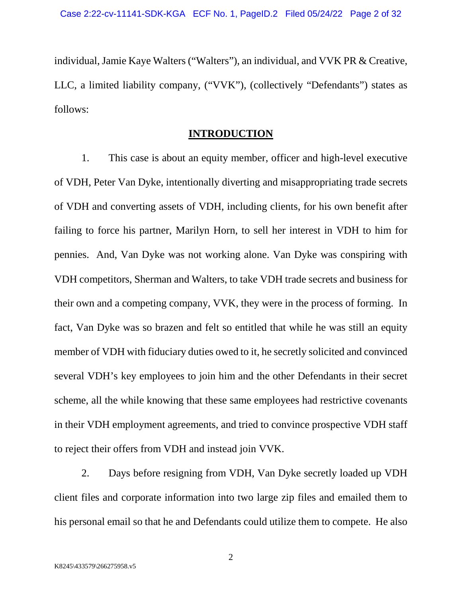individual, Jamie Kaye Walters ("Walters"), an individual, and VVK PR & Creative, LLC, a limited liability company, ("VVK"), (collectively "Defendants") states as follows:

#### **INTRODUCTION**

1. This case is about an equity member, officer and high-level executive of VDH, Peter Van Dyke, intentionally diverting and misappropriating trade secrets of VDH and converting assets of VDH, including clients, for his own benefit after failing to force his partner, Marilyn Horn, to sell her interest in VDH to him for pennies. And, Van Dyke was not working alone. Van Dyke was conspiring with VDH competitors, Sherman and Walters, to take VDH trade secrets and business for their own and a competing company, VVK, they were in the process of forming. In fact, Van Dyke was so brazen and felt so entitled that while he was still an equity member of VDH with fiduciary duties owed to it, he secretly solicited and convinced several VDH's key employees to join him and the other Defendants in their secret scheme, all the while knowing that these same employees had restrictive covenants in their VDH employment agreements, and tried to convince prospective VDH staff to reject their offers from VDH and instead join VVK.

2. Days before resigning from VDH, Van Dyke secretly loaded up VDH client files and corporate information into two large zip files and emailed them to his personal email so that he and Defendants could utilize them to compete. He also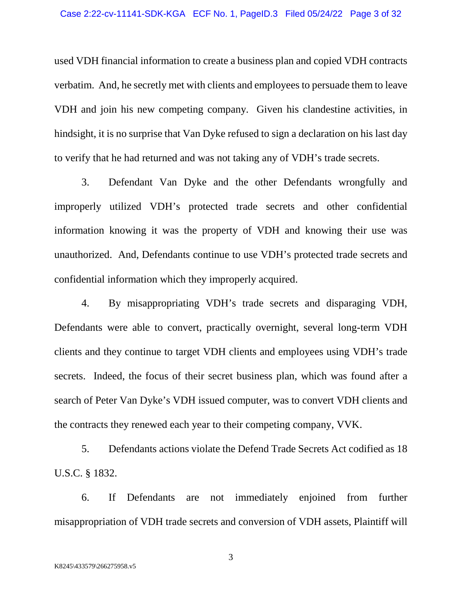used VDH financial information to create a business plan and copied VDH contracts verbatim. And, he secretly met with clients and employees to persuade them to leave VDH and join his new competing company. Given his clandestine activities, in hindsight, it is no surprise that Van Dyke refused to sign a declaration on his last day to verify that he had returned and was not taking any of VDH's trade secrets.

3. Defendant Van Dyke and the other Defendants wrongfully and improperly utilized VDH's protected trade secrets and other confidential information knowing it was the property of VDH and knowing their use was unauthorized. And, Defendants continue to use VDH's protected trade secrets and confidential information which they improperly acquired.

4. By misappropriating VDH's trade secrets and disparaging VDH, Defendants were able to convert, practically overnight, several long-term VDH clients and they continue to target VDH clients and employees using VDH's trade secrets. Indeed, the focus of their secret business plan, which was found after a search of Peter Van Dyke's VDH issued computer, was to convert VDH clients and the contracts they renewed each year to their competing company, VVK.

5. Defendants actions violate the Defend Trade Secrets Act codified as 18 U.S.C. § 1832.

6. If Defendants are not immediately enjoined from further misappropriation of VDH trade secrets and conversion of VDH assets, Plaintiff will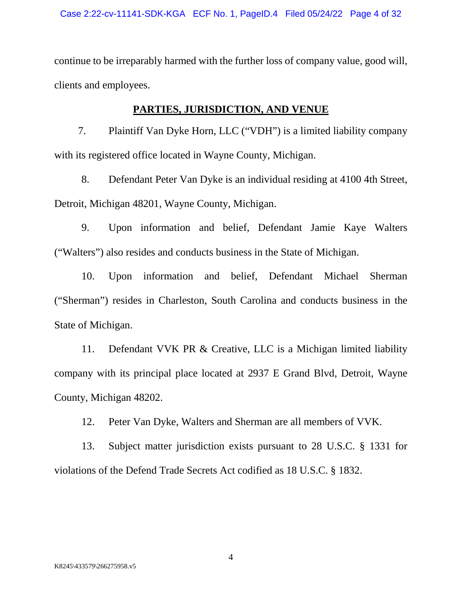continue to be irreparably harmed with the further loss of company value, good will, clients and employees.

## **PARTIES, JURISDICTION, AND VENUE**

7. Plaintiff Van Dyke Horn, LLC ("VDH") is a limited liability company with its registered office located in Wayne County, Michigan.

8. Defendant Peter Van Dyke is an individual residing at 4100 4th Street, Detroit, Michigan 48201, Wayne County, Michigan.

9. Upon information and belief, Defendant Jamie Kaye Walters ("Walters") also resides and conducts business in the State of Michigan.

10. Upon information and belief, Defendant Michael Sherman ("Sherman") resides in Charleston, South Carolina and conducts business in the State of Michigan.

11. Defendant VVK PR & Creative, LLC is a Michigan limited liability company with its principal place located at 2937 E Grand Blvd, Detroit, Wayne County, Michigan 48202.

12. Peter Van Dyke, Walters and Sherman are all members of VVK.

13. Subject matter jurisdiction exists pursuant to 28 U.S.C. § 1331 for violations of the Defend Trade Secrets Act codified as 18 U.S.C. § 1832.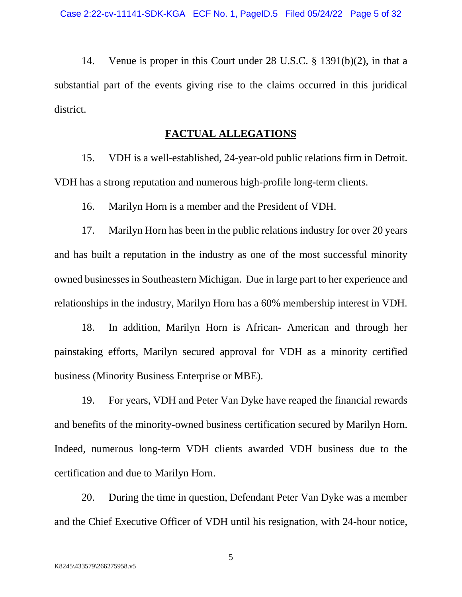14. Venue is proper in this Court under 28 U.S.C. § 1391(b)(2), in that a substantial part of the events giving rise to the claims occurred in this juridical district.

#### **FACTUAL ALLEGATIONS**

15. VDH is a well-established, 24-year-old public relations firm in Detroit. VDH has a strong reputation and numerous high-profile long-term clients.

16. Marilyn Horn is a member and the President of VDH.

17. Marilyn Horn has been in the public relations industry for over 20 years and has built a reputation in the industry as one of the most successful minority owned businesses in Southeastern Michigan. Due in large part to her experience and relationships in the industry, Marilyn Horn has a 60% membership interest in VDH.

18. In addition, Marilyn Horn is African- American and through her painstaking efforts, Marilyn secured approval for VDH as a minority certified business (Minority Business Enterprise or MBE).

19. For years, VDH and Peter Van Dyke have reaped the financial rewards and benefits of the minority-owned business certification secured by Marilyn Horn. Indeed, numerous long-term VDH clients awarded VDH business due to the certification and due to Marilyn Horn.

20. During the time in question, Defendant Peter Van Dyke was a member and the Chief Executive Officer of VDH until his resignation, with 24-hour notice,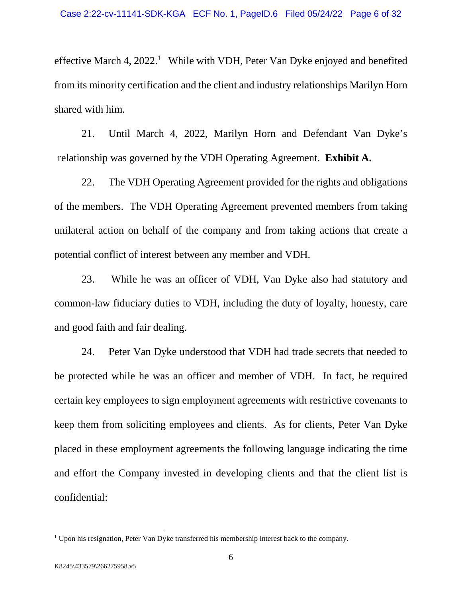effective March 4,  $2022$ <sup>[1](#page-5-0)</sup> While with VDH, Peter Van Dyke enjoyed and benefited from its minority certification and the client and industry relationships Marilyn Horn shared with him.

21. Until March 4, 2022, Marilyn Horn and Defendant Van Dyke's relationship was governed by the VDH Operating Agreement. **Exhibit A.**

22. The VDH Operating Agreement provided for the rights and obligations of the members. The VDH Operating Agreement prevented members from taking unilateral action on behalf of the company and from taking actions that create a potential conflict of interest between any member and VDH.

23. While he was an officer of VDH, Van Dyke also had statutory and common-law fiduciary duties to VDH, including the duty of loyalty, honesty, care and good faith and fair dealing.

24. Peter Van Dyke understood that VDH had trade secrets that needed to be protected while he was an officer and member of VDH. In fact, he required certain key employees to sign employment agreements with restrictive covenants to keep them from soliciting employees and clients. As for clients, Peter Van Dyke placed in these employment agreements the following language indicating the time and effort the Company invested in developing clients and that the client list is confidential:

<span id="page-5-0"></span><sup>&</sup>lt;sup>1</sup> Upon his resignation, Peter Van Dyke transferred his membership interest back to the company.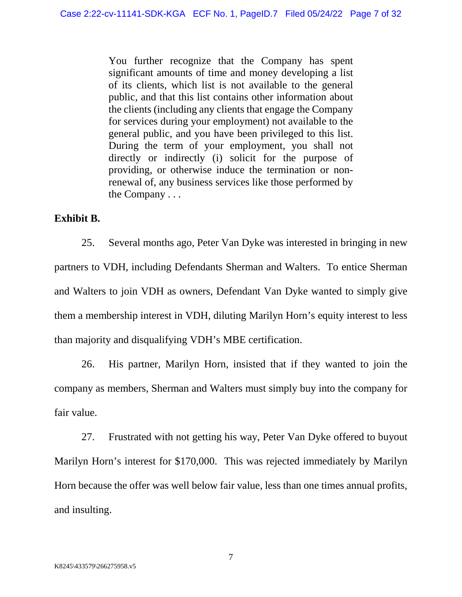You further recognize that the Company has spent significant amounts of time and money developing a list of its clients, which list is not available to the general public, and that this list contains other information about the clients (including any clients that engage the Company for services during your employment) not available to the general public, and you have been privileged to this list. During the term of your employment, you shall not directly or indirectly (i) solicit for the purpose of providing, or otherwise induce the termination or nonrenewal of, any business services like those performed by the Company . . .

#### **Exhibit B.**

25. Several months ago, Peter Van Dyke was interested in bringing in new partners to VDH, including Defendants Sherman and Walters. To entice Sherman and Walters to join VDH as owners, Defendant Van Dyke wanted to simply give them a membership interest in VDH, diluting Marilyn Horn's equity interest to less than majority and disqualifying VDH's MBE certification.

26. His partner, Marilyn Horn, insisted that if they wanted to join the company as members, Sherman and Walters must simply buy into the company for fair value.

27. Frustrated with not getting his way, Peter Van Dyke offered to buyout Marilyn Horn's interest for \$170,000. This was rejected immediately by Marilyn Horn because the offer was well below fair value, less than one times annual profits, and insulting.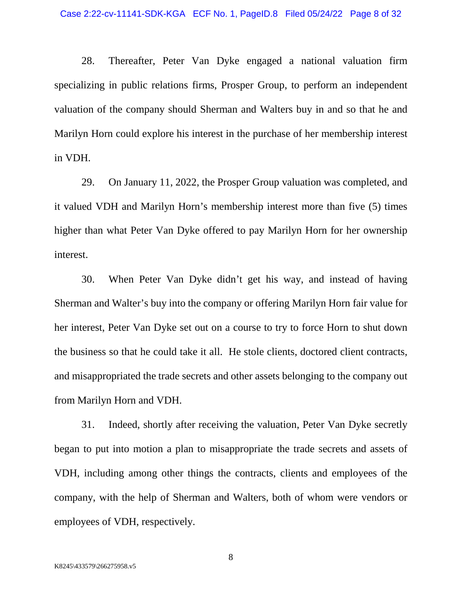28. Thereafter, Peter Van Dyke engaged a national valuation firm specializing in public relations firms, Prosper Group, to perform an independent valuation of the company should Sherman and Walters buy in and so that he and Marilyn Horn could explore his interest in the purchase of her membership interest in VDH.

29. On January 11, 2022, the Prosper Group valuation was completed, and it valued VDH and Marilyn Horn's membership interest more than five (5) times higher than what Peter Van Dyke offered to pay Marilyn Horn for her ownership interest.

30. When Peter Van Dyke didn't get his way, and instead of having Sherman and Walter's buy into the company or offering Marilyn Horn fair value for her interest, Peter Van Dyke set out on a course to try to force Horn to shut down the business so that he could take it all. He stole clients, doctored client contracts, and misappropriated the trade secrets and other assets belonging to the company out from Marilyn Horn and VDH.

31. Indeed, shortly after receiving the valuation, Peter Van Dyke secretly began to put into motion a plan to misappropriate the trade secrets and assets of VDH, including among other things the contracts, clients and employees of the company, with the help of Sherman and Walters, both of whom were vendors or employees of VDH, respectively.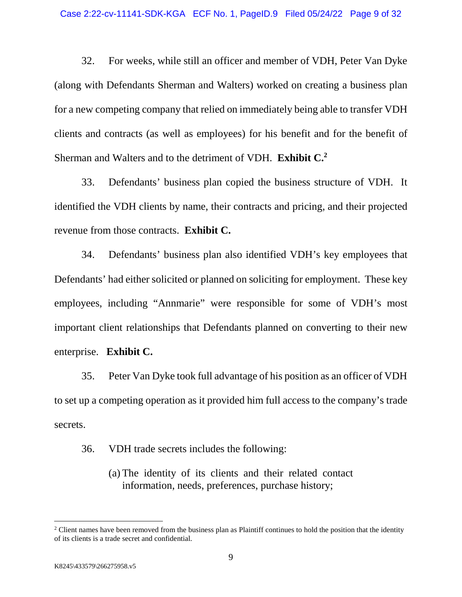32. For weeks, while still an officer and member of VDH, Peter Van Dyke (along with Defendants Sherman and Walters) worked on creating a business plan for a new competing company that relied on immediately being able to transfer VDH clients and contracts (as well as employees) for his benefit and for the benefit of Sherman and Walters and to the detriment of VDH. **Exhibit C.[2](#page-8-0)**

33. Defendants' business plan copied the business structure of VDH. It identified the VDH clients by name, their contracts and pricing, and their projected revenue from those contracts. **Exhibit C.** 

34. Defendants' business plan also identified VDH's key employees that Defendants' had either solicited or planned on soliciting for employment. These key employees, including "Annmarie" were responsible for some of VDH's most important client relationships that Defendants planned on converting to their new enterprise. **Exhibit C.** 

35. Peter Van Dyke took full advantage of his position as an officer of VDH to set up a competing operation as it provided him full access to the company's trade secrets.

- 36. VDH trade secrets includes the following:
	- (a) The identity of its clients and their related contact information, needs, preferences, purchase history;

<span id="page-8-0"></span><sup>&</sup>lt;sup>2</sup> Client names have been removed from the business plan as Plaintiff continues to hold the position that the identity of its clients is a trade secret and confidential.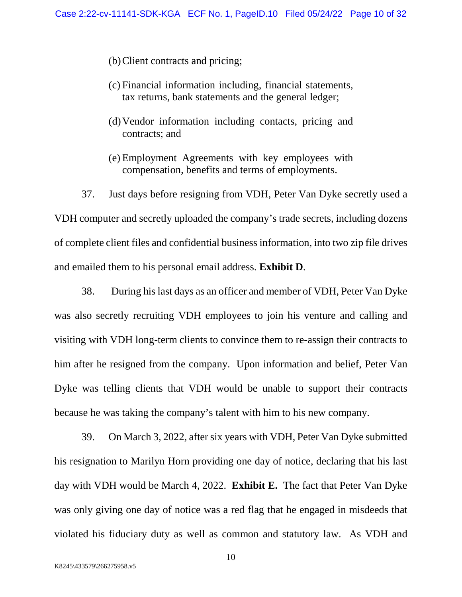- (b)Client contracts and pricing;
- (c) Financial information including, financial statements, tax returns, bank statements and the general ledger;
- (d)Vendor information including contacts, pricing and contracts; and
- (e) Employment Agreements with key employees with compensation, benefits and terms of employments.

37. Just days before resigning from VDH, Peter Van Dyke secretly used a VDH computer and secretly uploaded the company's trade secrets, including dozens of complete client files and confidential business information, into two zip file drives and emailed them to his personal email address. **Exhibit D**.

38. During his last days as an officer and member of VDH, Peter Van Dyke was also secretly recruiting VDH employees to join his venture and calling and visiting with VDH long-term clients to convince them to re-assign their contracts to him after he resigned from the company. Upon information and belief, Peter Van Dyke was telling clients that VDH would be unable to support their contracts because he was taking the company's talent with him to his new company.

39. On March 3, 2022, after six years with VDH, Peter Van Dyke submitted his resignation to Marilyn Horn providing one day of notice, declaring that his last day with VDH would be March 4, 2022. **Exhibit E.** The fact that Peter Van Dyke was only giving one day of notice was a red flag that he engaged in misdeeds that violated his fiduciary duty as well as common and statutory law. As VDH and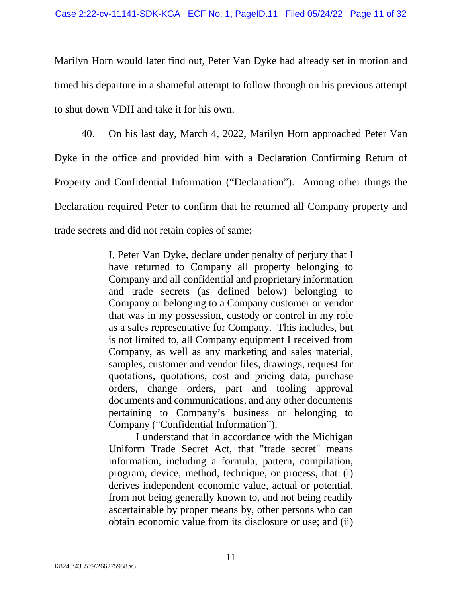Marilyn Horn would later find out, Peter Van Dyke had already set in motion and timed his departure in a shameful attempt to follow through on his previous attempt to shut down VDH and take it for his own.

40. On his last day, March 4, 2022, Marilyn Horn approached Peter Van Dyke in the office and provided him with a Declaration Confirming Return of Property and Confidential Information ("Declaration"). Among other things the Declaration required Peter to confirm that he returned all Company property and trade secrets and did not retain copies of same:

> I, Peter Van Dyke, declare under penalty of perjury that I have returned to Company all property belonging to Company and all confidential and proprietary information and trade secrets (as defined below) belonging to Company or belonging to a Company customer or vendor that was in my possession, custody or control in my role as a sales representative for Company. This includes, but is not limited to, all Company equipment I received from Company, as well as any marketing and sales material, samples, customer and vendor files, drawings, request for quotations, quotations, cost and pricing data, purchase orders, change orders, part and tooling approval documents and communications, and any other documents pertaining to Company's business or belonging to Company ("Confidential Information").

> I understand that in accordance with the Michigan Uniform Trade Secret Act, that "trade secret" means information, including a formula, pattern, compilation, program, device, method, technique, or process, that: (i) derives independent economic value, actual or potential, from not being generally known to, and not being readily ascertainable by proper means by, other persons who can obtain economic value from its disclosure or use; and (ii)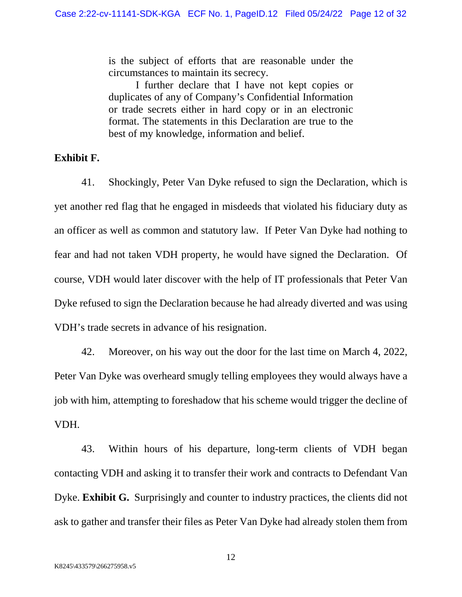is the subject of efforts that are reasonable under the circumstances to maintain its secrecy.

I further declare that I have not kept copies or duplicates of any of Company's Confidential Information or trade secrets either in hard copy or in an electronic format. The statements in this Declaration are true to the best of my knowledge, information and belief.

#### **Exhibit F.**

41. Shockingly, Peter Van Dyke refused to sign the Declaration, which is yet another red flag that he engaged in misdeeds that violated his fiduciary duty as an officer as well as common and statutory law. If Peter Van Dyke had nothing to fear and had not taken VDH property, he would have signed the Declaration. Of course, VDH would later discover with the help of IT professionals that Peter Van Dyke refused to sign the Declaration because he had already diverted and was using VDH's trade secrets in advance of his resignation.

42. Moreover, on his way out the door for the last time on March 4, 2022, Peter Van Dyke was overheard smugly telling employees they would always have a job with him, attempting to foreshadow that his scheme would trigger the decline of VDH.

43. Within hours of his departure, long-term clients of VDH began contacting VDH and asking it to transfer their work and contracts to Defendant Van Dyke. **Exhibit G.** Surprisingly and counter to industry practices, the clients did not ask to gather and transfer their files as Peter Van Dyke had already stolen them from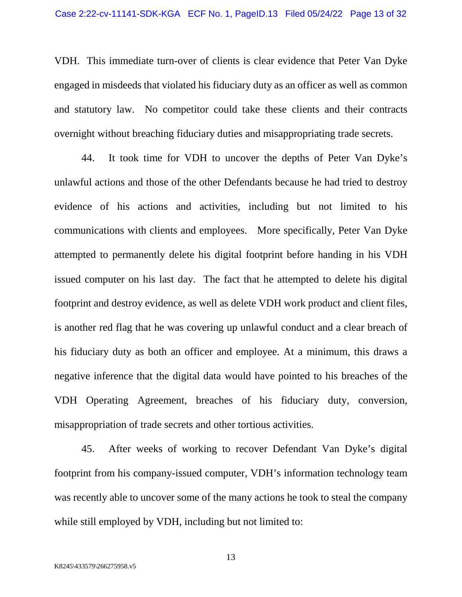VDH. This immediate turn-over of clients is clear evidence that Peter Van Dyke engaged in misdeeds that violated his fiduciary duty as an officer as well as common and statutory law. No competitor could take these clients and their contracts overnight without breaching fiduciary duties and misappropriating trade secrets.

44. It took time for VDH to uncover the depths of Peter Van Dyke's unlawful actions and those of the other Defendants because he had tried to destroy evidence of his actions and activities, including but not limited to his communications with clients and employees. More specifically, Peter Van Dyke attempted to permanently delete his digital footprint before handing in his VDH issued computer on his last day. The fact that he attempted to delete his digital footprint and destroy evidence, as well as delete VDH work product and client files, is another red flag that he was covering up unlawful conduct and a clear breach of his fiduciary duty as both an officer and employee. At a minimum, this draws a negative inference that the digital data would have pointed to his breaches of the VDH Operating Agreement, breaches of his fiduciary duty, conversion, misappropriation of trade secrets and other tortious activities.

45. After weeks of working to recover Defendant Van Dyke's digital footprint from his company-issued computer, VDH's information technology team was recently able to uncover some of the many actions he took to steal the company while still employed by VDH, including but not limited to: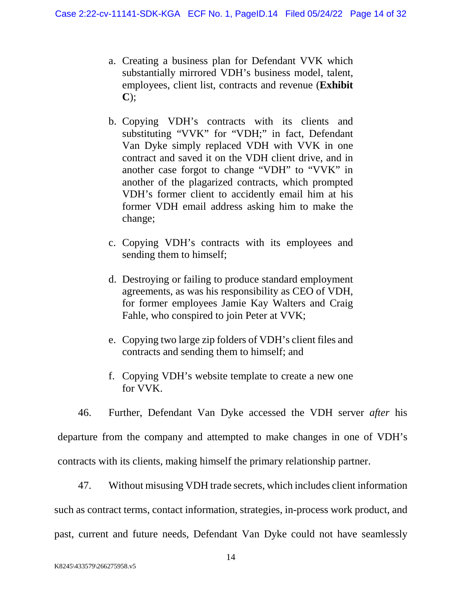- a. Creating a business plan for Defendant VVK which substantially mirrored VDH's business model, talent, employees, client list, contracts and revenue (**Exhibit C**);
- b. Copying VDH's contracts with its clients and substituting "VVK" for "VDH;" in fact, Defendant Van Dyke simply replaced VDH with VVK in one contract and saved it on the VDH client drive, and in another case forgot to change "VDH" to "VVK" in another of the plagarized contracts, which prompted VDH's former client to accidently email him at his former VDH email address asking him to make the change;
- c. Copying VDH's contracts with its employees and sending them to himself;
- d. Destroying or failing to produce standard employment agreements, as was his responsibility as CEO of VDH, for former employees Jamie Kay Walters and Craig Fahle, who conspired to join Peter at VVK;
- e. Copying two large zip folders of VDH's client files and contracts and sending them to himself; and
- f. Copying VDH's website template to create a new one for VVK.

46. Further, Defendant Van Dyke accessed the VDH server *after* his departure from the company and attempted to make changes in one of VDH's contracts with its clients, making himself the primary relationship partner.

47. Without misusing VDH trade secrets, which includes client information such as contract terms, contact information, strategies, in-process work product, and past, current and future needs, Defendant Van Dyke could not have seamlessly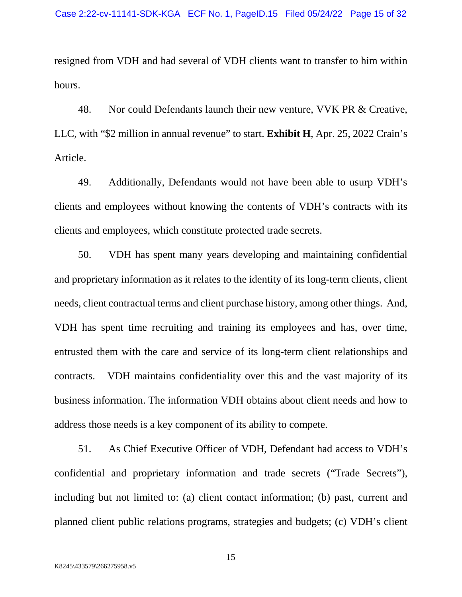resigned from VDH and had several of VDH clients want to transfer to him within hours.

48. Nor could Defendants launch their new venture, VVK PR & Creative, LLC, with "\$2 million in annual revenue" to start. **Exhibit H**, Apr. 25, 2022 Crain's Article.

49. Additionally, Defendants would not have been able to usurp VDH's clients and employees without knowing the contents of VDH's contracts with its clients and employees, which constitute protected trade secrets.

50. VDH has spent many years developing and maintaining confidential and proprietary information as it relates to the identity of its long-term clients, client needs, client contractual terms and client purchase history, among other things. And, VDH has spent time recruiting and training its employees and has, over time, entrusted them with the care and service of its long-term client relationships and contracts. VDH maintains confidentiality over this and the vast majority of its business information. The information VDH obtains about client needs and how to address those needs is a key component of its ability to compete.

51. As Chief Executive Officer of VDH, Defendant had access to VDH's confidential and proprietary information and trade secrets ("Trade Secrets"), including but not limited to: (a) client contact information; (b) past, current and planned client public relations programs, strategies and budgets; (c) VDH's client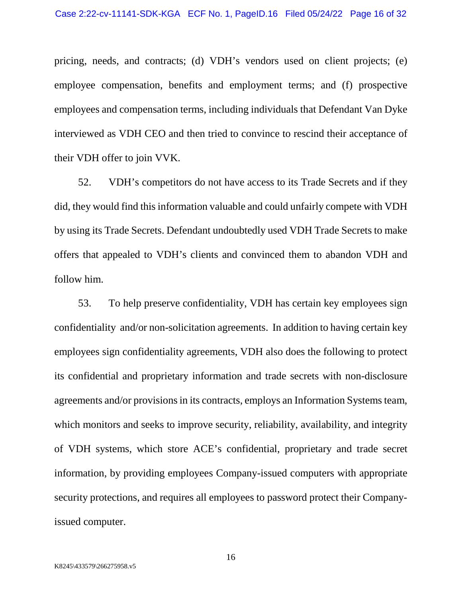pricing, needs, and contracts; (d) VDH's vendors used on client projects; (e) employee compensation, benefits and employment terms; and (f) prospective employees and compensation terms, including individuals that Defendant Van Dyke interviewed as VDH CEO and then tried to convince to rescind their acceptance of their VDH offer to join VVK.

52. VDH's competitors do not have access to its Trade Secrets and if they did, they would find this information valuable and could unfairly compete with VDH by using its Trade Secrets. Defendant undoubtedly used VDH Trade Secrets to make offers that appealed to VDH's clients and convinced them to abandon VDH and follow him.

53. To help preserve confidentiality, VDH has certain key employees sign confidentiality and/or non-solicitation agreements. In addition to having certain key employees sign confidentiality agreements, VDH also does the following to protect its confidential and proprietary information and trade secrets with non-disclosure agreements and/or provisions in its contracts, employs an Information Systems team, which monitors and seeks to improve security, reliability, availability, and integrity of VDH systems, which store ACE's confidential, proprietary and trade secret information, by providing employees Company-issued computers with appropriate security protections, and requires all employees to password protect their Companyissued computer.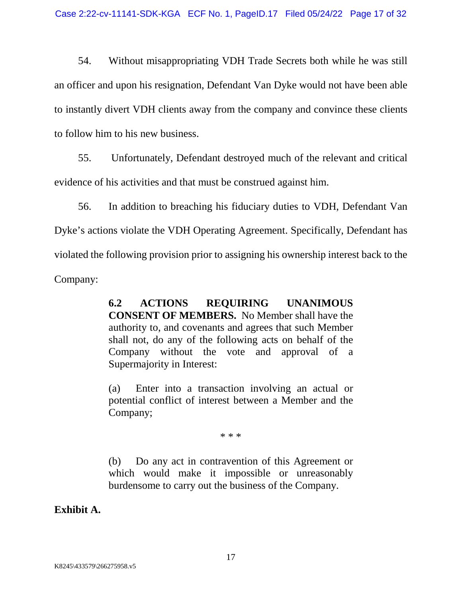54. Without misappropriating VDH Trade Secrets both while he was still an officer and upon his resignation, Defendant Van Dyke would not have been able to instantly divert VDH clients away from the company and convince these clients to follow him to his new business.

55. Unfortunately, Defendant destroyed much of the relevant and critical evidence of his activities and that must be construed against him.

56. In addition to breaching his fiduciary duties to VDH, Defendant Van Dyke's actions violate the VDH Operating Agreement. Specifically, Defendant has violated the following provision prior to assigning his ownership interest back to the Company:

> **6.2 ACTIONS REQUIRING UNANIMOUS CONSENT OF MEMBERS.** No Member shall have the authority to, and covenants and agrees that such Member shall not, do any of the following acts on behalf of the Company without the vote and approval of a Supermajority in Interest:

> (a) Enter into a transaction involving an actual or potential conflict of interest between a Member and the Company;

> > \* \* \*

(b) Do any act in contravention of this Agreement or which would make it impossible or unreasonably burdensome to carry out the business of the Company.

**Exhibit A.**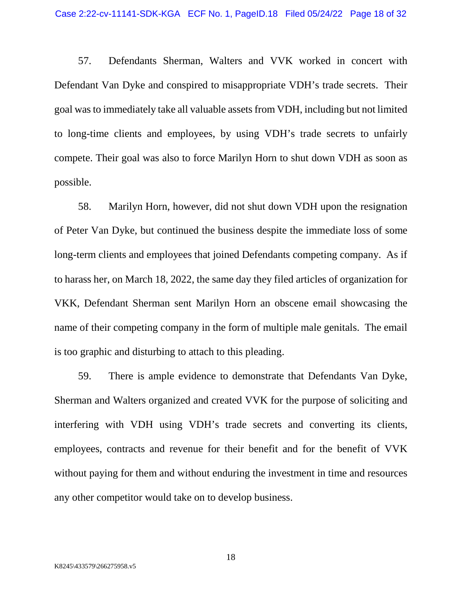57. Defendants Sherman, Walters and VVK worked in concert with Defendant Van Dyke and conspired to misappropriate VDH's trade secrets. Their goal was to immediately take all valuable assets from VDH, including but not limited to long-time clients and employees, by using VDH's trade secrets to unfairly compete. Their goal was also to force Marilyn Horn to shut down VDH as soon as possible.

58. Marilyn Horn, however, did not shut down VDH upon the resignation of Peter Van Dyke, but continued the business despite the immediate loss of some long-term clients and employees that joined Defendants competing company. As if to harass her, on March 18, 2022, the same day they filed articles of organization for VKK, Defendant Sherman sent Marilyn Horn an obscene email showcasing the name of their competing company in the form of multiple male genitals. The email is too graphic and disturbing to attach to this pleading.

59. There is ample evidence to demonstrate that Defendants Van Dyke, Sherman and Walters organized and created VVK for the purpose of soliciting and interfering with VDH using VDH's trade secrets and converting its clients, employees, contracts and revenue for their benefit and for the benefit of VVK without paying for them and without enduring the investment in time and resources any other competitor would take on to develop business.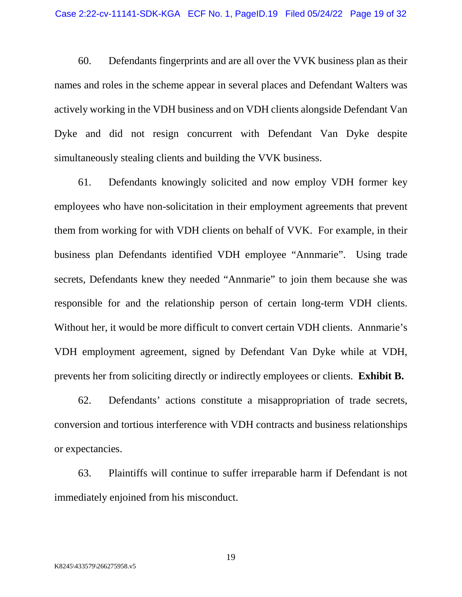60. Defendants fingerprints and are all over the VVK business plan as their names and roles in the scheme appear in several places and Defendant Walters was actively working in the VDH business and on VDH clients alongside Defendant Van Dyke and did not resign concurrent with Defendant Van Dyke despite simultaneously stealing clients and building the VVK business.

61. Defendants knowingly solicited and now employ VDH former key employees who have non-solicitation in their employment agreements that prevent them from working for with VDH clients on behalf of VVK. For example, in their business plan Defendants identified VDH employee "Annmarie". Using trade secrets, Defendants knew they needed "Annmarie" to join them because she was responsible for and the relationship person of certain long-term VDH clients. Without her, it would be more difficult to convert certain VDH clients. Annmarie's VDH employment agreement, signed by Defendant Van Dyke while at VDH, prevents her from soliciting directly or indirectly employees or clients. **Exhibit B.**

62. Defendants' actions constitute a misappropriation of trade secrets, conversion and tortious interference with VDH contracts and business relationships or expectancies.

63. Plaintiffs will continue to suffer irreparable harm if Defendant is not immediately enjoined from his misconduct.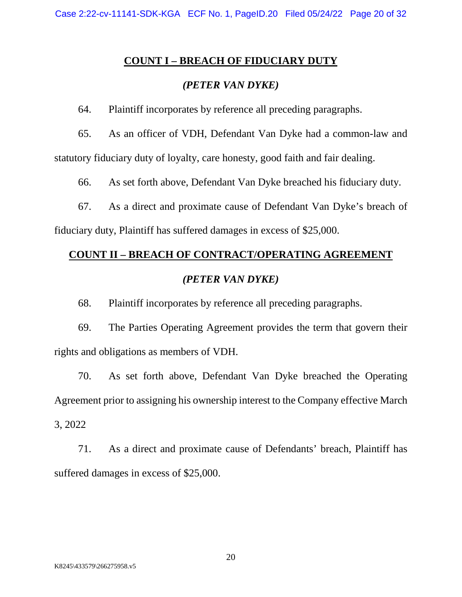#### **COUNT I – BREACH OF FIDUCIARY DUTY**

## *(PETER VAN DYKE)*

64. Plaintiff incorporates by reference all preceding paragraphs.

65. As an officer of VDH, Defendant Van Dyke had a common-law and statutory fiduciary duty of loyalty, care honesty, good faith and fair dealing.

66. As set forth above, Defendant Van Dyke breached his fiduciary duty.

67. As a direct and proximate cause of Defendant Van Dyke's breach of

fiduciary duty, Plaintiff has suffered damages in excess of \$25,000.

# **COUNT II – BREACH OF CONTRACT/OPERATING AGREEMENT**  *(PETER VAN DYKE)*

68. Plaintiff incorporates by reference all preceding paragraphs.

69. The Parties Operating Agreement provides the term that govern their rights and obligations as members of VDH.

70. As set forth above, Defendant Van Dyke breached the Operating Agreement prior to assigning his ownership interest to the Company effective March 3, 2022

71. As a direct and proximate cause of Defendants' breach, Plaintiff has suffered damages in excess of \$25,000.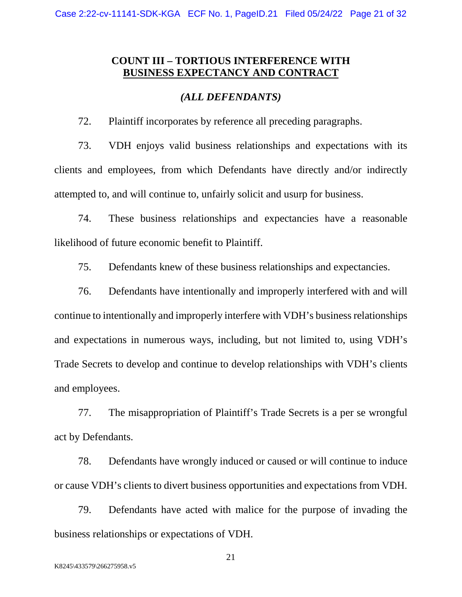## **COUNT III – TORTIOUS INTERFERENCE WITH BUSINESS EXPECTANCY AND CONTRACT**

#### *(ALL DEFENDANTS)*

72. Plaintiff incorporates by reference all preceding paragraphs.

73. VDH enjoys valid business relationships and expectations with its clients and employees, from which Defendants have directly and/or indirectly attempted to, and will continue to, unfairly solicit and usurp for business.

74. These business relationships and expectancies have a reasonable likelihood of future economic benefit to Plaintiff.

75. Defendants knew of these business relationships and expectancies.

76. Defendants have intentionally and improperly interfered with and will continue to intentionally and improperly interfere with VDH's business relationships and expectations in numerous ways, including, but not limited to, using VDH's Trade Secrets to develop and continue to develop relationships with VDH's clients and employees.

77. The misappropriation of Plaintiff's Trade Secrets is a per se wrongful act by Defendants.

78. Defendants have wrongly induced or caused or will continue to induce or cause VDH's clients to divert business opportunities and expectations from VDH.

79. Defendants have acted with malice for the purpose of invading the business relationships or expectations of VDH.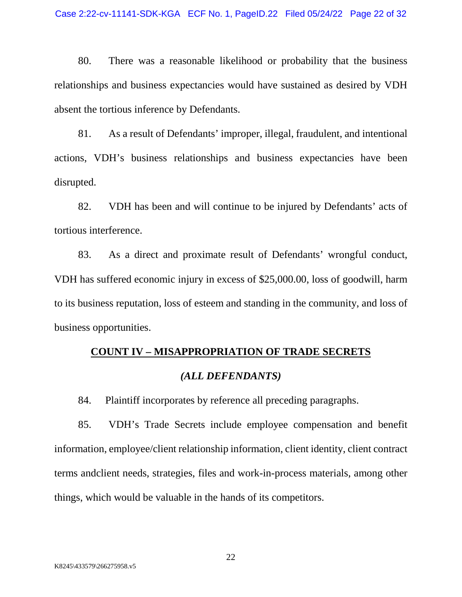80. There was a reasonable likelihood or probability that the business relationships and business expectancies would have sustained as desired by VDH absent the tortious inference by Defendants.

81. As a result of Defendants' improper, illegal, fraudulent, and intentional actions, VDH's business relationships and business expectancies have been disrupted.

82. VDH has been and will continue to be injured by Defendants' acts of tortious interference.

83. As a direct and proximate result of Defendants' wrongful conduct, VDH has suffered economic injury in excess of \$25,000.00, loss of goodwill, harm to its business reputation, loss of esteem and standing in the community, and loss of business opportunities.

# **COUNT IV – MISAPPROPRIATION OF TRADE SECRETS**

#### *(ALL DEFENDANTS)*

84. Plaintiff incorporates by reference all preceding paragraphs.

85. VDH's Trade Secrets include employee compensation and benefit information, employee/client relationship information, client identity, client contract terms andclient needs, strategies, files and work-in-process materials, among other things, which would be valuable in the hands of its competitors.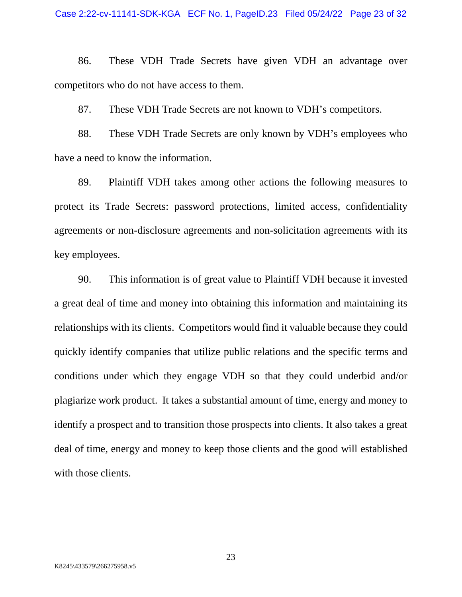86. These VDH Trade Secrets have given VDH an advantage over competitors who do not have access to them.

87. These VDH Trade Secrets are not known to VDH's competitors.

88. These VDH Trade Secrets are only known by VDH's employees who have a need to know the information.

89. Plaintiff VDH takes among other actions the following measures to protect its Trade Secrets: password protections, limited access, confidentiality agreements or non-disclosure agreements and non-solicitation agreements with its key employees.

90. This information is of great value to Plaintiff VDH because it invested a great deal of time and money into obtaining this information and maintaining its relationships with its clients. Competitors would find it valuable because they could quickly identify companies that utilize public relations and the specific terms and conditions under which they engage VDH so that they could underbid and/or plagiarize work product. It takes a substantial amount of time, energy and money to identify a prospect and to transition those prospects into clients. It also takes a great deal of time, energy and money to keep those clients and the good will established with those clients.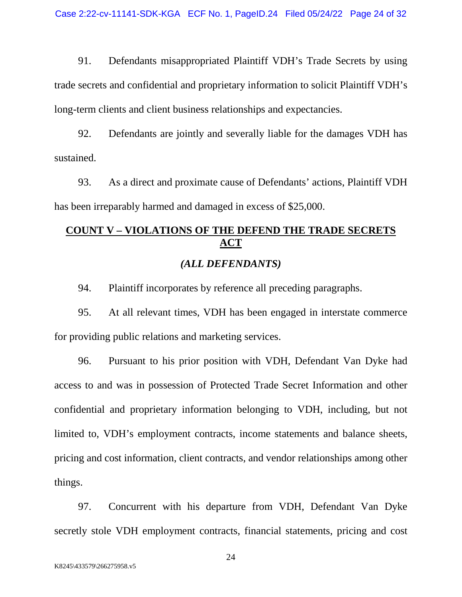91. Defendants misappropriated Plaintiff VDH's Trade Secrets by using trade secrets and confidential and proprietary information to solicit Plaintiff VDH's long-term clients and client business relationships and expectancies.

92. Defendants are jointly and severally liable for the damages VDH has sustained.

93. As a direct and proximate cause of Defendants' actions, Plaintiff VDH has been irreparably harmed and damaged in excess of \$25,000.

# **COUNT V – VIOLATIONS OF THE DEFEND THE TRADE SECRETS ACT**

#### *(ALL DEFENDANTS)*

94. Plaintiff incorporates by reference all preceding paragraphs.

95. At all relevant times, VDH has been engaged in interstate commerce for providing public relations and marketing services.

96. Pursuant to his prior position with VDH, Defendant Van Dyke had access to and was in possession of Protected Trade Secret Information and other confidential and proprietary information belonging to VDH, including, but not limited to, VDH's employment contracts, income statements and balance sheets, pricing and cost information, client contracts, and vendor relationships among other things.

97. Concurrent with his departure from VDH, Defendant Van Dyke secretly stole VDH employment contracts, financial statements, pricing and cost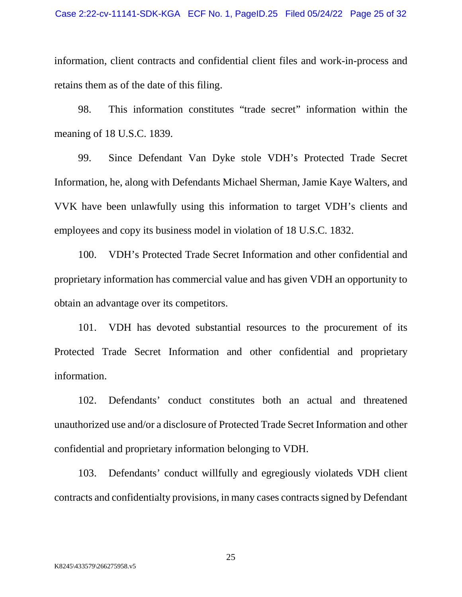information, client contracts and confidential client files and work-in-process and retains them as of the date of this filing.

98. This information constitutes "trade secret" information within the meaning of 18 U.S.C. 1839.

99. Since Defendant Van Dyke stole VDH's Protected Trade Secret Information, he, along with Defendants Michael Sherman, Jamie Kaye Walters, and VVK have been unlawfully using this information to target VDH's clients and employees and copy its business model in violation of 18 U.S.C. 1832.

100. VDH's Protected Trade Secret Information and other confidential and proprietary information has commercial value and has given VDH an opportunity to obtain an advantage over its competitors.

101. VDH has devoted substantial resources to the procurement of its Protected Trade Secret Information and other confidential and proprietary information.

102. Defendants' conduct constitutes both an actual and threatened unauthorized use and/or a disclosure of Protected Trade Secret Information and other confidential and proprietary information belonging to VDH.

103. Defendants' conduct willfully and egregiously violateds VDH client contracts and confidentialty provisions, in many cases contracts signed by Defendant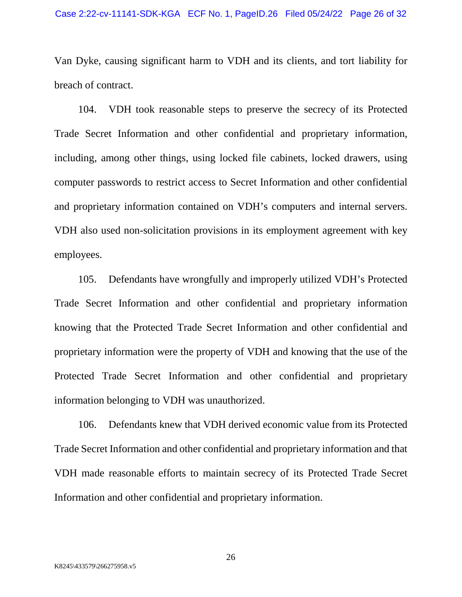Van Dyke, causing significant harm to VDH and its clients, and tort liability for breach of contract.

104. VDH took reasonable steps to preserve the secrecy of its Protected Trade Secret Information and other confidential and proprietary information, including, among other things, using locked file cabinets, locked drawers, using computer passwords to restrict access to Secret Information and other confidential and proprietary information contained on VDH's computers and internal servers. VDH also used non-solicitation provisions in its employment agreement with key employees.

105. Defendants have wrongfully and improperly utilized VDH's Protected Trade Secret Information and other confidential and proprietary information knowing that the Protected Trade Secret Information and other confidential and proprietary information were the property of VDH and knowing that the use of the Protected Trade Secret Information and other confidential and proprietary information belonging to VDH was unauthorized.

106. Defendants knew that VDH derived economic value from its Protected Trade Secret Information and other confidential and proprietary information and that VDH made reasonable efforts to maintain secrecy of its Protected Trade Secret Information and other confidential and proprietary information.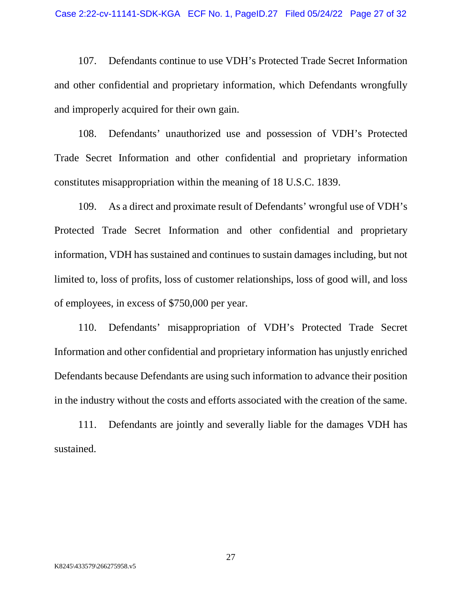107. Defendants continue to use VDH's Protected Trade Secret Information and other confidential and proprietary information, which Defendants wrongfully and improperly acquired for their own gain.

108. Defendants' unauthorized use and possession of VDH's Protected Trade Secret Information and other confidential and proprietary information constitutes misappropriation within the meaning of 18 U.S.C. 1839.

109. As a direct and proximate result of Defendants' wrongful use of VDH's Protected Trade Secret Information and other confidential and proprietary information, VDH has sustained and continues to sustain damages including, but not limited to, loss of profits, loss of customer relationships, loss of good will, and loss of employees, in excess of \$750,000 per year.

110. Defendants' misappropriation of VDH's Protected Trade Secret Information and other confidential and proprietary information has unjustly enriched Defendants because Defendants are using such information to advance their position in the industry without the costs and efforts associated with the creation of the same.

111. Defendants are jointly and severally liable for the damages VDH has sustained.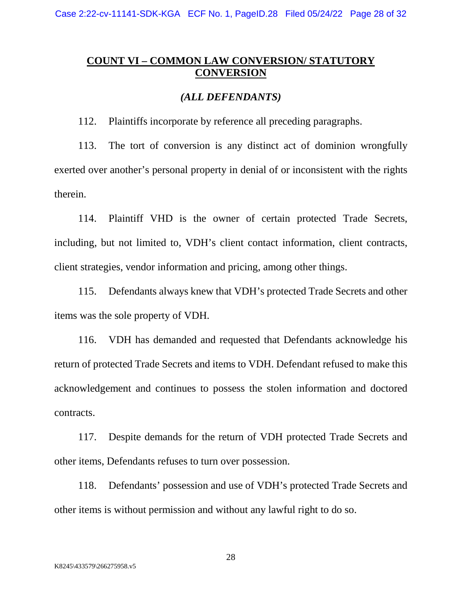Case 2:22-cv-11141-SDK-KGA ECF No. 1, PageID.28 Filed 05/24/22 Page 28 of 32

## **COUNT VI – COMMON LAW CONVERSION/ STATUTORY CONVERSION**

#### *(ALL DEFENDANTS)*

112. Plaintiffs incorporate by reference all preceding paragraphs.

113. The tort of conversion is any distinct act of dominion wrongfully exerted over another's personal property in denial of or inconsistent with the rights therein.

114. Plaintiff VHD is the owner of certain protected Trade Secrets, including, but not limited to, VDH's client contact information, client contracts, client strategies, vendor information and pricing, among other things.

115. Defendants always knew that VDH's protected Trade Secrets and other items was the sole property of VDH.

116. VDH has demanded and requested that Defendants acknowledge his return of protected Trade Secrets and items to VDH. Defendant refused to make this acknowledgement and continues to possess the stolen information and doctored contracts.

117. Despite demands for the return of VDH protected Trade Secrets and other items, Defendants refuses to turn over possession.

118. Defendants' possession and use of VDH's protected Trade Secrets and other items is without permission and without any lawful right to do so.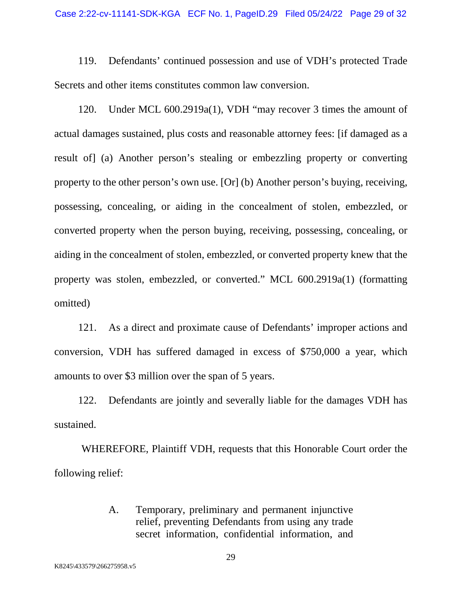119. Defendants' continued possession and use of VDH's protected Trade Secrets and other items constitutes common law conversion.

120. Under MCL 600.2919a(1), VDH "may recover 3 times the amount of actual damages sustained, plus costs and reasonable attorney fees: [if damaged as a result of] (a) Another person's stealing or embezzling property or converting property to the other person's own use. [Or] (b) Another person's buying, receiving, possessing, concealing, or aiding in the concealment of stolen, embezzled, or converted property when the person buying, receiving, possessing, concealing, or aiding in the concealment of stolen, embezzled, or converted property knew that the property was stolen, embezzled, or converted." MCL 600.2919a(1) (formatting omitted)

121. As a direct and proximate cause of Defendants' improper actions and conversion, VDH has suffered damaged in excess of \$750,000 a year, which amounts to over \$3 million over the span of 5 years.

122. Defendants are jointly and severally liable for the damages VDH has sustained.

WHEREFORE, Plaintiff VDH, requests that this Honorable Court order the following relief:

> A. Temporary, preliminary and permanent injunctive relief, preventing Defendants from using any trade secret information, confidential information, and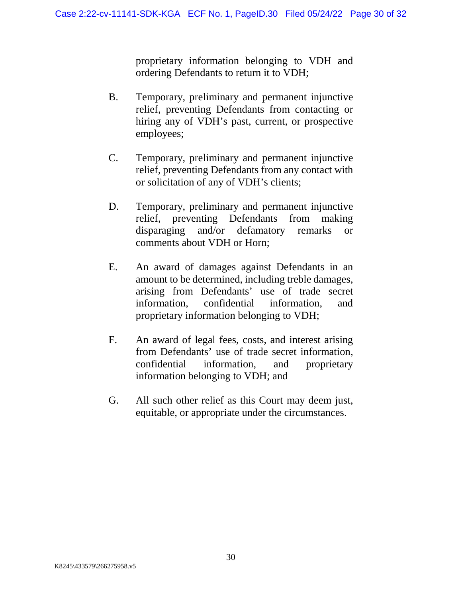proprietary information belonging to VDH and ordering Defendants to return it to VDH;

- B. Temporary, preliminary and permanent injunctive relief, preventing Defendants from contacting or hiring any of VDH's past, current, or prospective employees;
- C. Temporary, preliminary and permanent injunctive relief, preventing Defendants from any contact with or solicitation of any of VDH's clients;
- D. Temporary, preliminary and permanent injunctive relief, preventing Defendants from making disparaging and/or defamatory remarks or comments about VDH or Horn;
- E. An award of damages against Defendants in an amount to be determined, including treble damages, arising from Defendants' use of trade secret information, confidential information, and proprietary information belonging to VDH;
- F. An award of legal fees, costs, and interest arising from Defendants' use of trade secret information, confidential information, and proprietary information belonging to VDH; and
- G. All such other relief as this Court may deem just, equitable, or appropriate under the circumstances.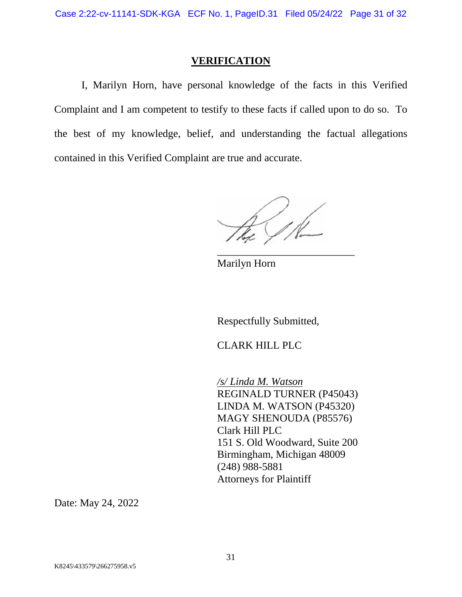#### **VERIFICATION**

I, Marilyn Horn, have personal knowledge of the facts in this Verified Complaint and I am competent to testify to these facts if called upon to do so. To the best of my knowledge, belief, and understanding the factual allegations contained in this Verified Complaint are true and accurate.

4. IR

\_\_\_\_\_\_\_\_\_\_\_\_\_\_\_\_\_\_\_\_\_\_\_\_\_\_

Marilyn Horn

Respectfully Submitted,

CLARK HILL PLC

*/s/ Linda M. Watson*  REGINALD TURNER (P45043) LINDA M. WATSON (P45320) MAGY SHENOUDA (P85576) Clark Hill PLC 151 S. Old Woodward, Suite 200 Birmingham, Michigan 48009 (248) 988-5881 Attorneys for Plaintiff

Date: May 24, 2022